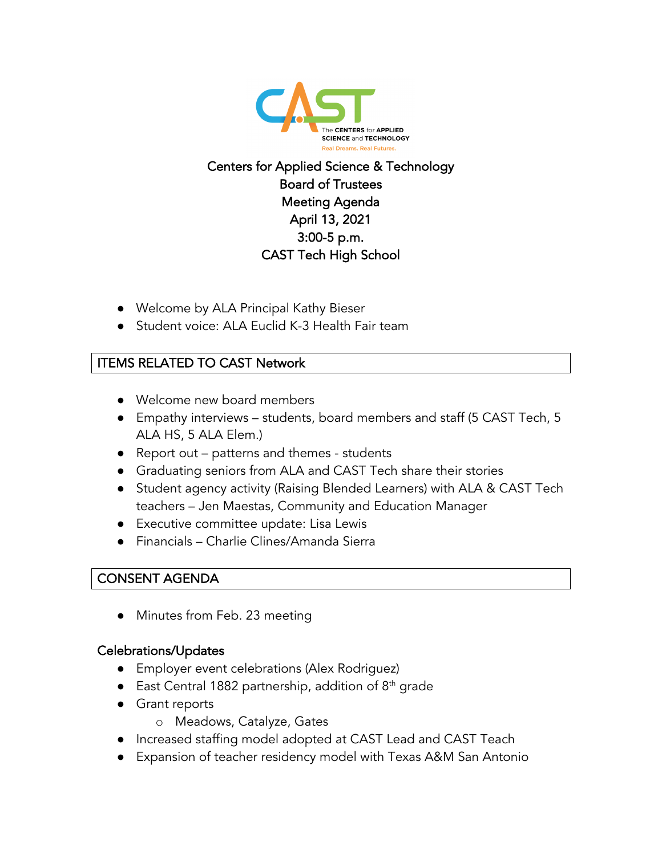

# Centers for Applied Science & Technology Board of Trustees Meeting Agenda April 13, 2021 3:00-5 p.m. CAST Tech High School

- Welcome by ALA Principal Kathy Bieser
- Student voice: ALA Euclid K-3 Health Fair team

### ITEMS RELATED TO CAST Network

- Welcome new board members
- Empathy interviews students, board members and staff (5 CAST Tech, 5 ALA HS, 5 ALA Elem.)
- Report out patterns and themes students
- Graduating seniors from ALA and CAST Tech share their stories
- Student agency activity (Raising Blended Learners) with ALA & CAST Tech teachers – Jen Maestas, Community and Education Manager
- Executive committee update: Lisa Lewis
- Financials Charlie Clines/Amanda Sierra

### CONSENT AGENDA

• Minutes from Feb. 23 meeting

#### Celebrations/Updates

- Employer event celebrations (Alex Rodriguez)
- East Central 1882 partnership, addition of  $8<sup>th</sup>$  grade
- Grant reports
	- o Meadows, Catalyze, Gates
- Increased staffing model adopted at CAST Lead and CAST Teach
- Expansion of teacher residency model with Texas A&M San Antonio